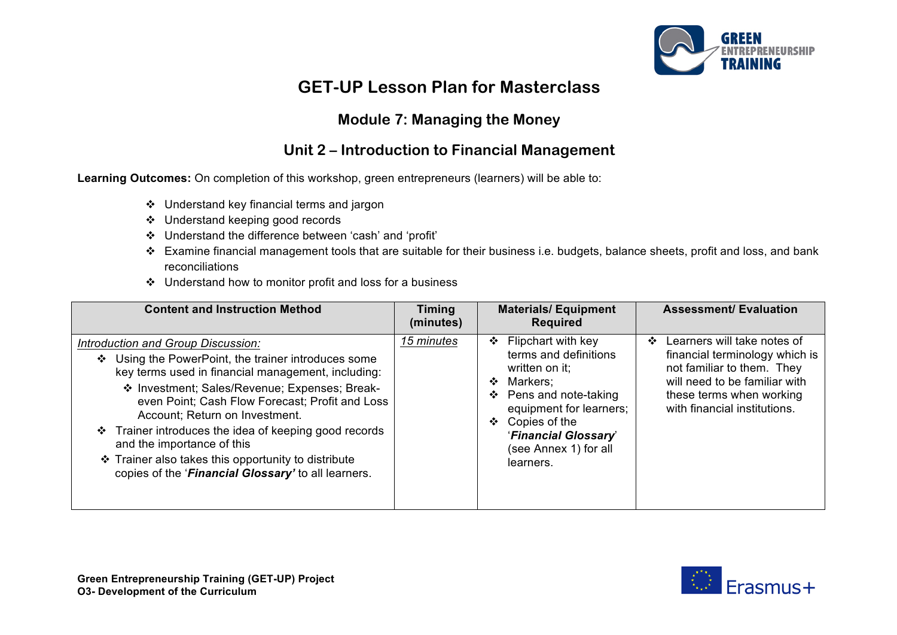

# **GET-UP Lesson Plan for Masterclass**

### **Module 7: Managing the Money**

### **Unit 2 – Introduction to Financial Management**

**Learning Outcomes:** On completion of this workshop, green entrepreneurs (learners) will be able to:

- $\div$  Understand key financial terms and jargon
- v Understand keeping good records
- v Understand the difference between 'cash' and 'profit'
- \* Examine financial management tools that are suitable for their business i.e. budgets, balance sheets, profit and loss, and bank reconciliations
- $\div$  Understand how to monitor profit and loss for a business

| <b>Content and Instruction Method</b>                                                                                                                                                                                                                                                                                                                                                                                                                                                     | <b>Timing</b><br>(minutes) | <b>Materials/Equipment</b><br><b>Required</b>                                                                                                                                                                                   | <b>Assessment/ Evaluation</b>                                                                                                                                                                         |
|-------------------------------------------------------------------------------------------------------------------------------------------------------------------------------------------------------------------------------------------------------------------------------------------------------------------------------------------------------------------------------------------------------------------------------------------------------------------------------------------|----------------------------|---------------------------------------------------------------------------------------------------------------------------------------------------------------------------------------------------------------------------------|-------------------------------------------------------------------------------------------------------------------------------------------------------------------------------------------------------|
| Introduction and Group Discussion:<br>Using the PowerPoint, the trainer introduces some<br>key terms used in financial management, including:<br>❖ Investment; Sales/Revenue; Expenses; Break-<br>even Point; Cash Flow Forecast; Profit and Loss<br>Account; Return on Investment.<br>Trainer introduces the idea of keeping good records<br>❖<br>and the importance of this<br>Trainer also takes this opportunity to distribute<br>copies of the 'Financial Glossary' to all learners. | 15 minutes                 | Flipchart with key<br>❖<br>terms and definitions<br>written on it;<br>Markers:<br>❖<br>Pens and note-taking<br>❖<br>equipment for learners;<br>Copies of the<br>❖<br>'Financial Glossary'<br>(see Annex 1) for all<br>learners. | Learners will take notes of<br>$\bullet$<br>financial terminology which is<br>not familiar to them. They<br>will need to be familiar with<br>these terms when working<br>with financial institutions. |

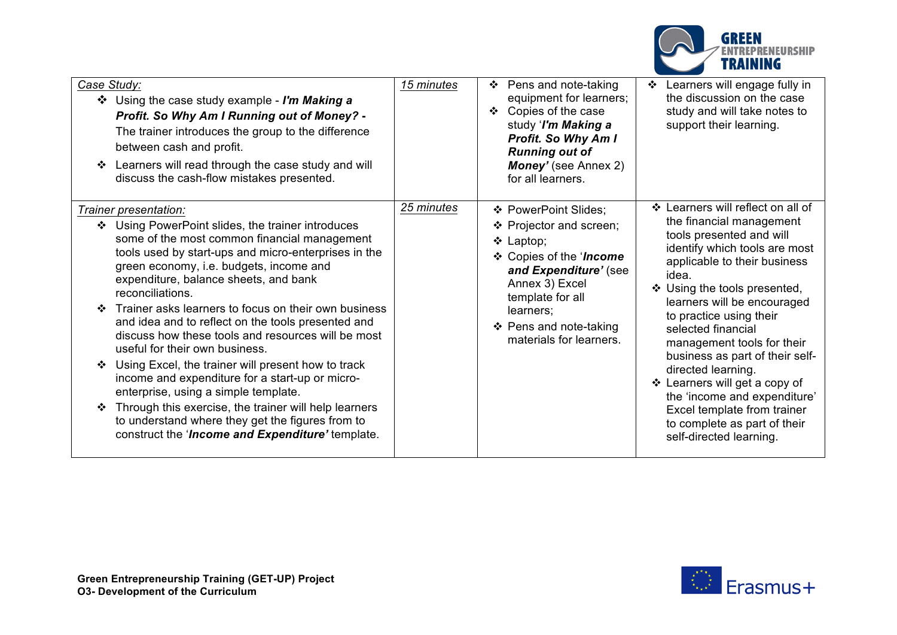

| Case Study:                                                                                                                                                                                                                                                                                                                                                                                                                                                                                                                                                                                                                                                                                                                                                                                                        | 15 minutes | Pens and note-taking<br>❖                                                                                                                                                                                                     | Learners will engage fully in                                                                                                                                                                                                                                                                                                                                                                                                                                                                                                         |
|--------------------------------------------------------------------------------------------------------------------------------------------------------------------------------------------------------------------------------------------------------------------------------------------------------------------------------------------------------------------------------------------------------------------------------------------------------------------------------------------------------------------------------------------------------------------------------------------------------------------------------------------------------------------------------------------------------------------------------------------------------------------------------------------------------------------|------------|-------------------------------------------------------------------------------------------------------------------------------------------------------------------------------------------------------------------------------|---------------------------------------------------------------------------------------------------------------------------------------------------------------------------------------------------------------------------------------------------------------------------------------------------------------------------------------------------------------------------------------------------------------------------------------------------------------------------------------------------------------------------------------|
| ❖ Using the case study example - I'm Making a<br>Profit. So Why Am I Running out of Money? -<br>The trainer introduces the group to the difference<br>between cash and profit.<br>Learners will read through the case study and will<br>discuss the cash-flow mistakes presented.                                                                                                                                                                                                                                                                                                                                                                                                                                                                                                                                  |            | equipment for learners;<br>Copies of the case<br>❖<br>study 'I'm Making a<br><b>Profit. So Why Am I</b><br><b>Running out of</b><br><b>Money'</b> (see Annex 2)<br>for all learners.                                          | the discussion on the case<br>study and will take notes to<br>support their learning.                                                                                                                                                                                                                                                                                                                                                                                                                                                 |
| Trainer presentation:<br>❖ Using PowerPoint slides, the trainer introduces<br>some of the most common financial management<br>tools used by start-ups and micro-enterprises in the<br>green economy, i.e. budgets, income and<br>expenditure, balance sheets, and bank<br>reconciliations.<br>Trainer asks learners to focus on their own business<br>and idea and to reflect on the tools presented and<br>discuss how these tools and resources will be most<br>useful for their own business.<br>Using Excel, the trainer will present how to track<br>income and expenditure for a start-up or micro-<br>enterprise, using a simple template.<br>Through this exercise, the trainer will help learners<br>to understand where they get the figures from to<br>construct the 'Income and Expenditure' template. | 25 minutes | ❖ PowerPoint Slides;<br>❖ Projector and screen;<br>$\div$ Laptop;<br>❖ Copies of the 'Income<br>and Expenditure' (see<br>Annex 3) Excel<br>template for all<br>learners;<br>❖ Pens and note-taking<br>materials for learners. | ❖ Learners will reflect on all of<br>the financial management<br>tools presented and will<br>identify which tools are most<br>applicable to their business<br>idea.<br>❖ Using the tools presented,<br>learners will be encouraged<br>to practice using their<br>selected financial<br>management tools for their<br>business as part of their self-<br>directed learning.<br>❖ Learners will get a copy of<br>the 'income and expenditure'<br>Excel template from trainer<br>to complete as part of their<br>self-directed learning. |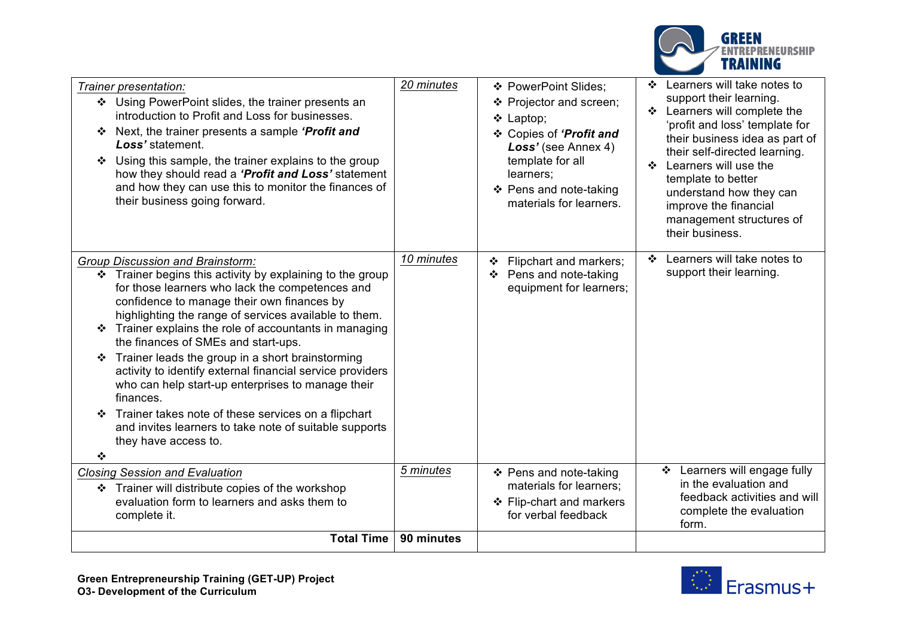

| Trainer presentation:<br>❖ Using PowerPoint slides, the trainer presents an<br>introduction to Profit and Loss for businesses.<br>Next, the trainer presents a sample 'Profit and<br>❖<br>Loss' statement.<br>Using this sample, the trainer explains to the group<br>how they should read a 'Profit and Loss' statement<br>and how they can use this to monitor the finances of<br>their business going forward.                                                                                                                                                                                                                                                                                 | 20 minutes | ❖ PowerPoint Slides;<br>❖ Projector and screen;<br>❖ Laptop;<br>❖ Copies of 'Profit and<br>Loss' (see Annex 4)<br>template for all<br>learners;<br>❖ Pens and note-taking<br>materials for learners. | Learners will take notes to<br>❖<br>support their learning.<br>❖ Learners will complete the<br>'profit and loss' template for<br>their business idea as part of<br>their self-directed learning.<br>Learners will use the<br>❖<br>template to better<br>understand how they can<br>improve the financial<br>management structures of<br>their business. |
|---------------------------------------------------------------------------------------------------------------------------------------------------------------------------------------------------------------------------------------------------------------------------------------------------------------------------------------------------------------------------------------------------------------------------------------------------------------------------------------------------------------------------------------------------------------------------------------------------------------------------------------------------------------------------------------------------|------------|------------------------------------------------------------------------------------------------------------------------------------------------------------------------------------------------------|---------------------------------------------------------------------------------------------------------------------------------------------------------------------------------------------------------------------------------------------------------------------------------------------------------------------------------------------------------|
| <b>Group Discussion and Brainstorm:</b><br>Trainer begins this activity by explaining to the group<br>❖<br>for those learners who lack the competences and<br>confidence to manage their own finances by<br>highlighting the range of services available to them.<br>Trainer explains the role of accountants in managing<br>the finances of SMEs and start-ups.<br>Trainer leads the group in a short brainstorming<br>activity to identify external financial service providers<br>who can help start-up enterprises to manage their<br>finances.<br>Trainer takes note of these services on a flipchart<br>and invites learners to take note of suitable supports<br>they have access to.<br>❖ | 10 minutes | Flipchart and markers;<br>Pens and note-taking<br>equipment for learners;                                                                                                                            | Learners will take notes to<br>❖<br>support their learning.                                                                                                                                                                                                                                                                                             |
| <b>Closing Session and Evaluation</b>                                                                                                                                                                                                                                                                                                                                                                                                                                                                                                                                                                                                                                                             | 5 minutes  | ❖ Pens and note-taking                                                                                                                                                                               | Learners will engage fully<br>❖                                                                                                                                                                                                                                                                                                                         |
| Trainer will distribute copies of the workshop<br>evaluation form to learners and asks them to<br>complete it.                                                                                                                                                                                                                                                                                                                                                                                                                                                                                                                                                                                    |            | materials for learners;<br>❖ Flip-chart and markers<br>for verbal feedback                                                                                                                           | in the evaluation and<br>feedback activities and will<br>complete the evaluation<br>form.                                                                                                                                                                                                                                                               |
| <b>Total Time</b>                                                                                                                                                                                                                                                                                                                                                                                                                                                                                                                                                                                                                                                                                 | 90 minutes |                                                                                                                                                                                                      |                                                                                                                                                                                                                                                                                                                                                         |

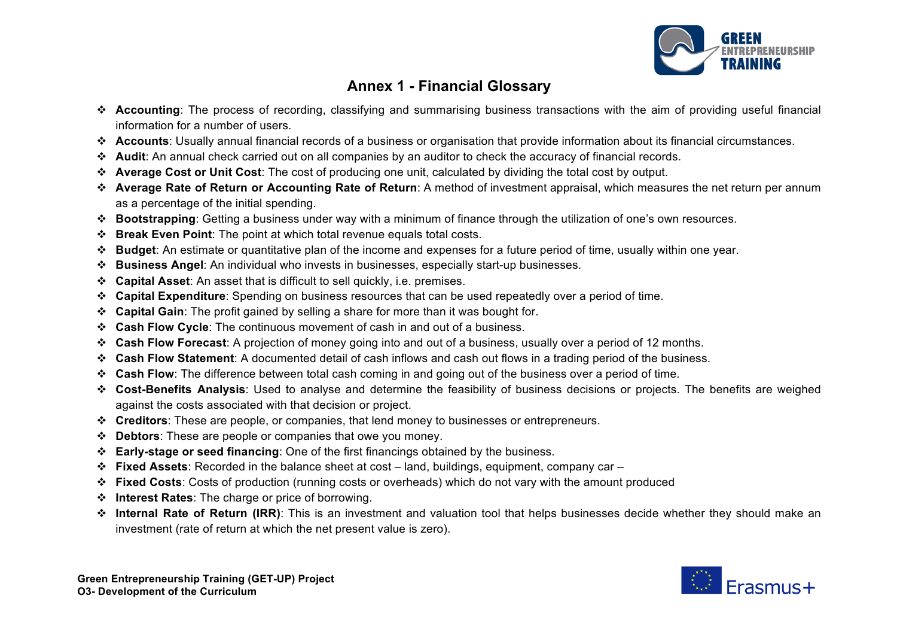

### **Annex 1 - Financial Glossary**

- v **Accounting**: The process of recording, classifying and summarising business transactions with the aim of providing useful financial information for a number of users.
- v **Accounts**: Usually annual financial records of a business or organisation that provide information about its financial circumstances.
- v **Audit**: An annual check carried out on all companies by an auditor to check the accuracy of financial records.
- v **Average Cost or Unit Cost**: The cost of producing one unit, calculated by dividing the total cost by output.
- v **Average Rate of Return or Accounting Rate of Return**: A method of investment appraisal, which measures the net return per annum as a percentage of the initial spending.
- v **Bootstrapping**: Getting a business under way with a minimum of finance through the utilization of one's own resources.
- v **Break Even Point**: The point at which total revenue equals total costs.
- v **Budget**: An estimate or quantitative plan of the income and expenses for a future period of time, usually within one year.
- v **Business Angel**: An individual who invests in businesses, especially start-up businesses.
- v **Capital Asset**: An asset that is difficult to sell quickly, i.e. premises.
- v **Capital Expenditure**: Spending on business resources that can be used repeatedly over a period of time.
- v **Capital Gain**: The profit gained by selling a share for more than it was bought for.
- v **Cash Flow Cycle**: The continuous movement of cash in and out of a business.
- v **Cash Flow Forecast**: A projection of money going into and out of a business, usually over a period of 12 months.
- v **Cash Flow Statement**: A documented detail of cash inflows and cash out flows in a trading period of the business.
- v **Cash Flow**: The difference between total cash coming in and going out of the business over a period of time.
- v **Cost-Benefits Analysis**: Used to analyse and determine the feasibility of business decisions or projects. The benefits are weighed against the costs associated with that decision or project.
- v **Creditors**: These are people, or companies, that lend money to businesses or entrepreneurs.
- v **Debtors**: These are people or companies that owe you money.
- v **Early-stage or seed financing**: One of the first financings obtained by the business.
- v **Fixed Assets**: Recorded in the balance sheet at cost land, buildings, equipment, company car –
- v **Fixed Costs**: Costs of production (running costs or overheads) which do not vary with the amount produced
- v **Interest Rates**: The charge or price of borrowing.
- v **Internal Rate of Return (IRR)**: This is an investment and valuation tool that helps businesses decide whether they should make an investment (rate of return at which the net present value is zero).

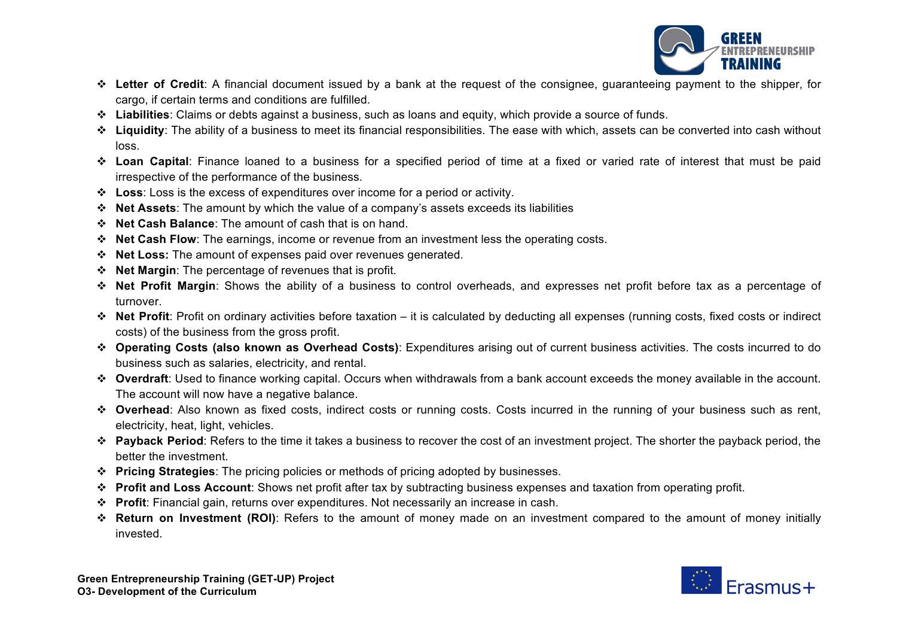

- v **Letter of Credit**: A financial document issued by a bank at the request of the consignee, guaranteeing payment to the shipper, for cargo, if certain terms and conditions are fulfilled.
- v **Liabilities**: Claims or debts against a business, such as loans and equity, which provide a source of funds.
- v **Liquidity**: The ability of a business to meet its financial responsibilities. The ease with which, assets can be converted into cash without loss.
- v **Loan Capital**: Finance loaned to a business for a specified period of time at a fixed or varied rate of interest that must be paid irrespective of the performance of the business.
- v **Loss**: Loss is the excess of expenditures over income for a period or activity.
- v **Net Assets**: The amount by which the value of a company's assets exceeds its liabilities
- v **Net Cash Balance**: The amount of cash that is on hand.
- v **Net Cash Flow**: The earnings, income or revenue from an investment less the operating costs.
- v **Net Loss:** The amount of expenses paid over revenues generated.
- v **Net Margin**: The percentage of revenues that is profit.
- v **Net Profit Margin**: Shows the ability of a business to control overheads, and expresses net profit before tax as a percentage of turnover.
- v **Net Profit**: Profit on ordinary activities before taxation it is calculated by deducting all expenses (running costs, fixed costs or indirect costs) of the business from the gross profit.
- v **Operating Costs (also known as Overhead Costs)**: Expenditures arising out of current business activities. The costs incurred to do business such as salaries, electricity, and rental.
- v **Overdraft**: Used to finance working capital. Occurs when withdrawals from a bank account exceeds the money available in the account. The account will now have a negative balance.
- \* Overhead: Also known as fixed costs, indirect costs or running costs. Costs incurred in the running of your business such as rent, electricity, heat, light, vehicles.
- v **Payback Period**: Refers to the time it takes a business to recover the cost of an investment project. The shorter the payback period, the better the investment.
- v **Pricing Strategies**: The pricing policies or methods of pricing adopted by businesses.
- v **Profit and Loss Account**: Shows net profit after tax by subtracting business expenses and taxation from operating profit.
- v **Profit**: Financial gain, returns over expenditures. Not necessarily an increase in cash.
- \* Return on Investment (ROI): Refers to the amount of money made on an investment compared to the amount of money initially invested.

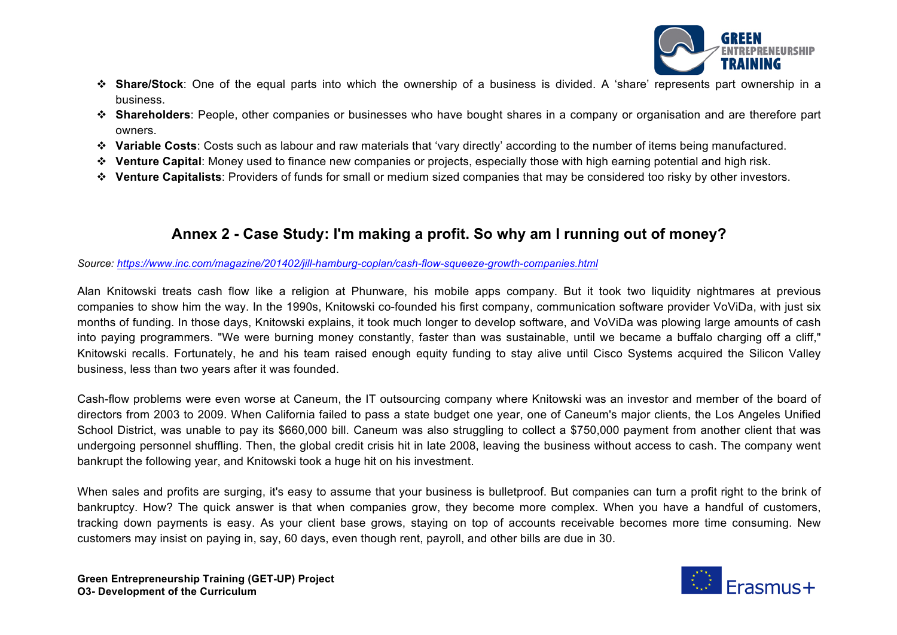

- v **Share/Stock**: One of the equal parts into which the ownership of a business is divided. A 'share' represents part ownership in a business.
- v **Shareholders**: People, other companies or businesses who have bought shares in a company or organisation and are therefore part owners.
- v **Variable Costs**: Costs such as labour and raw materials that 'vary directly' according to the number of items being manufactured.
- v **Venture Capital**: Money used to finance new companies or projects, especially those with high earning potential and high risk.
- v **Venture Capitalists**: Providers of funds for small or medium sized companies that may be considered too risky by other investors.

### **Annex 2 - Case Study: I'm making a profit. So why am I running out of money?**

*Source: https://www.inc.com/magazine/201402/jill-hamburg-coplan/cash-flow-squeeze-growth-companies.html*

Alan Knitowski treats cash flow like a religion at Phunware, his mobile apps company. But it took two liquidity nightmares at previous companies to show him the way. In the 1990s, Knitowski co-founded his first company, communication software provider VoViDa, with just six months of funding. In those days, Knitowski explains, it took much longer to develop software, and VoViDa was plowing large amounts of cash into paying programmers. "We were burning money constantly, faster than was sustainable, until we became a buffalo charging off a cliff," Knitowski recalls. Fortunately, he and his team raised enough equity funding to stay alive until Cisco Systems acquired the Silicon Valley business, less than two years after it was founded.

Cash-flow problems were even worse at Caneum, the IT outsourcing company where Knitowski was an investor and member of the board of directors from 2003 to 2009. When California failed to pass a state budget one year, one of Caneum's major clients, the Los Angeles Unified School District, was unable to pay its \$660,000 bill. Caneum was also struggling to collect a \$750,000 payment from another client that was undergoing personnel shuffling. Then, the global credit crisis hit in late 2008, leaving the business without access to cash. The company went bankrupt the following year, and Knitowski took a huge hit on his investment.

When sales and profits are surging, it's easy to assume that your business is bulletproof. But companies can turn a profit right to the brink of bankruptcy. How? The quick answer is that when companies grow, they become more complex. When you have a handful of customers, tracking down payments is easy. As your client base grows, staying on top of accounts receivable becomes more time consuming. New customers may insist on paying in, say, 60 days, even though rent, payroll, and other bills are due in 30.

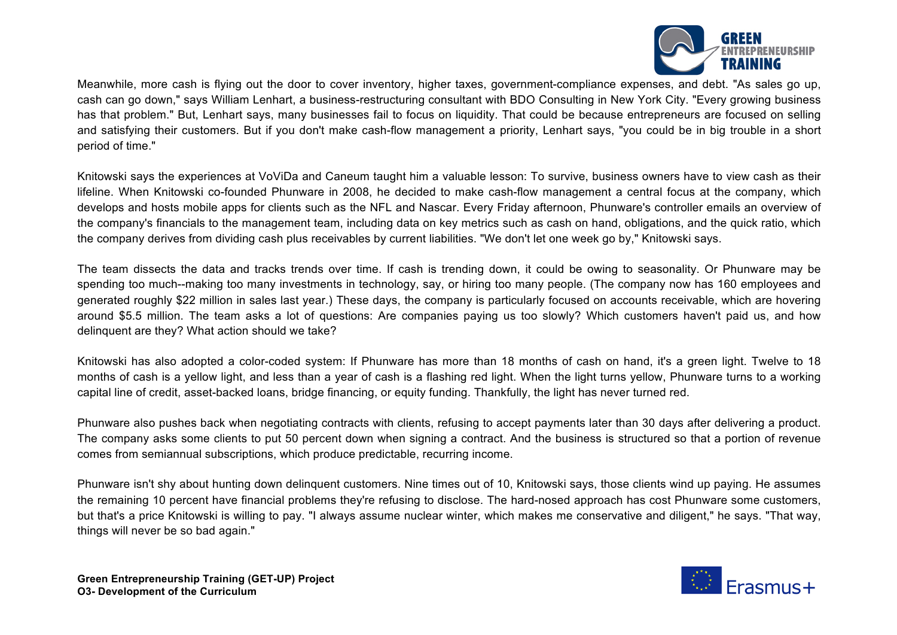

Meanwhile, more cash is flying out the door to cover inventory, higher taxes, government-compliance expenses, and debt. "As sales go up, cash can go down," says William Lenhart, a business-restructuring consultant with BDO Consulting in New York City. "Every growing business has that problem." But, Lenhart says, many businesses fail to focus on liquidity. That could be because entrepreneurs are focused on selling and satisfying their customers. But if you don't make cash-flow management a priority, Lenhart says, "you could be in big trouble in a short period of time."

Knitowski says the experiences at VoViDa and Caneum taught him a valuable lesson: To survive, business owners have to view cash as their lifeline. When Knitowski co-founded Phunware in 2008, he decided to make cash-flow management a central focus at the company, which develops and hosts mobile apps for clients such as the NFL and Nascar. Every Friday afternoon, Phunware's controller emails an overview of the company's financials to the management team, including data on key metrics such as cash on hand, obligations, and the quick ratio, which the company derives from dividing cash plus receivables by current liabilities. "We don't let one week go by," Knitowski says.

The team dissects the data and tracks trends over time. If cash is trending down, it could be owing to seasonality. Or Phunware may be spending too much--making too many investments in technology, say, or hiring too many people. (The company now has 160 employees and generated roughly \$22 million in sales last year.) These days, the company is particularly focused on accounts receivable, which are hovering around \$5.5 million. The team asks a lot of questions: Are companies paying us too slowly? Which customers haven't paid us, and how delinquent are they? What action should we take?

Knitowski has also adopted a color-coded system: If Phunware has more than 18 months of cash on hand, it's a green light. Twelve to 18 months of cash is a yellow light, and less than a year of cash is a flashing red light. When the light turns yellow, Phunware turns to a working capital line of credit, asset-backed loans, bridge financing, or equity funding. Thankfully, the light has never turned red.

Phunware also pushes back when negotiating contracts with clients, refusing to accept payments later than 30 days after delivering a product. The company asks some clients to put 50 percent down when signing a contract. And the business is structured so that a portion of revenue comes from semiannual subscriptions, which produce predictable, recurring income.

Phunware isn't shy about hunting down delinquent customers. Nine times out of 10, Knitowski says, those clients wind up paying. He assumes the remaining 10 percent have financial problems they're refusing to disclose. The hard-nosed approach has cost Phunware some customers, but that's a price Knitowski is willing to pay. "I always assume nuclear winter, which makes me conservative and diligent," he says. "That way, things will never be so bad again."

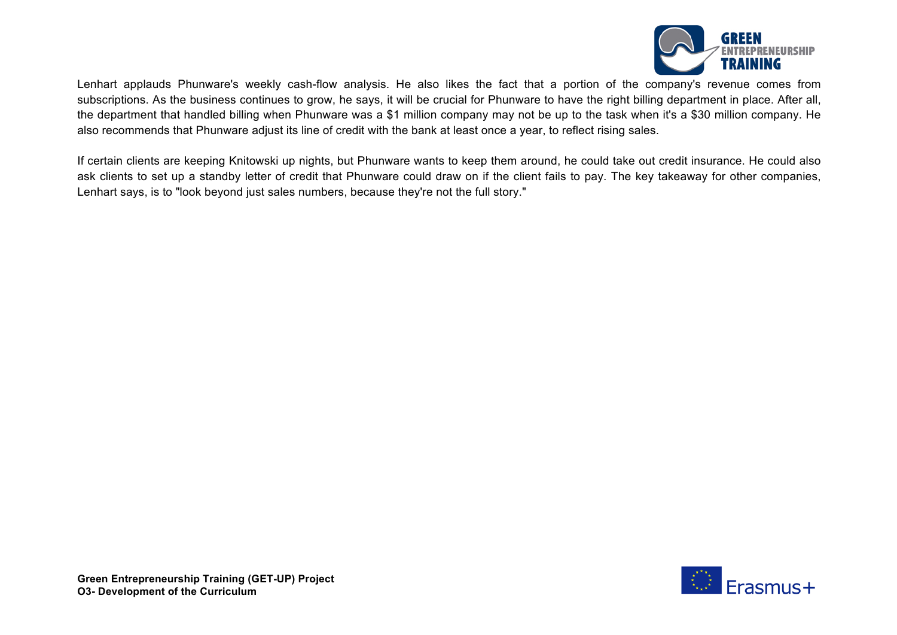

Lenhart applauds Phunware's weekly cash-flow analysis. He also likes the fact that a portion of the company's revenue comes from subscriptions. As the business continues to grow, he says, it will be crucial for Phunware to have the right billing department in place. After all, the department that handled billing when Phunware was a \$1 million company may not be up to the task when it's a \$30 million company. He also recommends that Phunware adjust its line of credit with the bank at least once a year, to reflect rising sales.

If certain clients are keeping Knitowski up nights, but Phunware wants to keep them around, he could take out credit insurance. He could also ask clients to set up a standby letter of credit that Phunware could draw on if the client fails to pay. The key takeaway for other companies, Lenhart says, is to "look beyond just sales numbers, because they're not the full story."

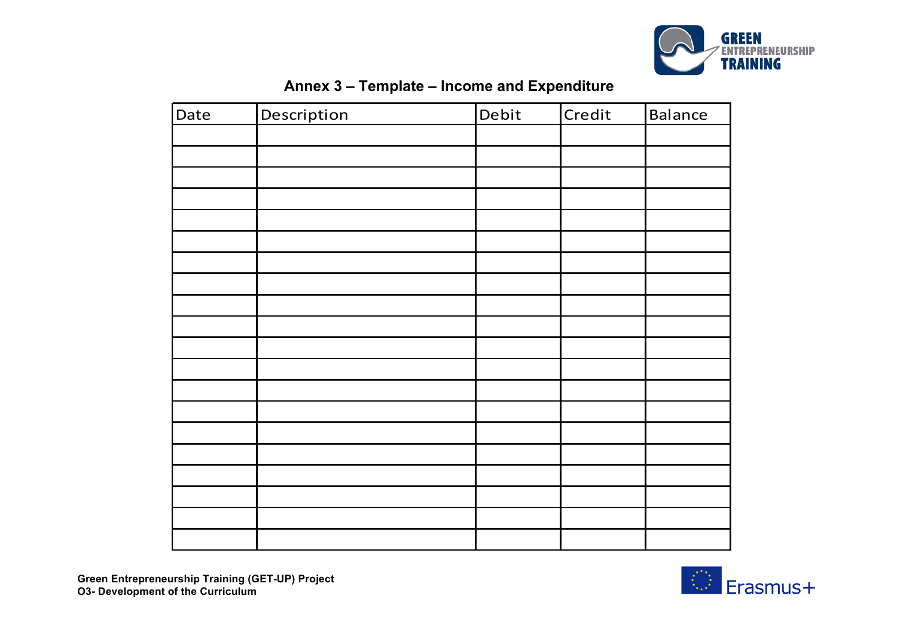

| Date | Description | Debit | Credit | <b>Balance</b> |
|------|-------------|-------|--------|----------------|
|      |             |       |        |                |
|      |             |       |        |                |
|      |             |       |        |                |
|      |             |       |        |                |
|      |             |       |        |                |
|      |             |       |        |                |
|      |             |       |        |                |
|      |             |       |        |                |
|      |             |       |        |                |
|      |             |       |        |                |
|      |             |       |        |                |
|      |             |       |        |                |
|      |             |       |        |                |
|      |             |       |        |                |
|      |             |       |        |                |
|      |             |       |        |                |
|      |             |       |        |                |
|      |             |       |        |                |
|      |             |       |        |                |
|      |             |       |        |                |

## **Annex 3 – Template – Income and Expenditure**